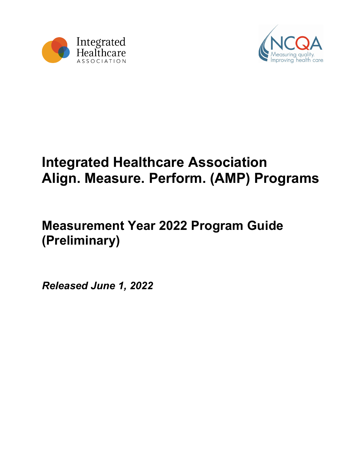



# **Integrated Healthcare Association Align. Measure. Perform. (AMP) Programs**

# **Measurement Year 2022 Program Guide (Preliminary)**

*Released June 1, 2022*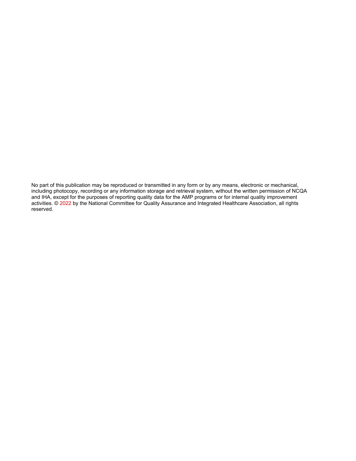No part of this publication may be reproduced or transmitted in any form or by any means, electronic or mechanical, including photocopy, recording or any information storage and retrieval system, without the written permission of NCQA and IHA, except for the purposes of reporting quality data for the AMP programs or for internal quality improvement activities. © 2022 by the National Committee for Quality Assurance and Integrated Healthcare Association, all rights reserved.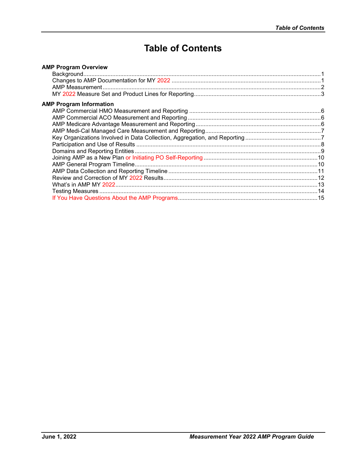# **Table of Contents**

| <b>AMP Program Overview</b>    |  |
|--------------------------------|--|
|                                |  |
|                                |  |
|                                |  |
|                                |  |
| <b>AMP Program Information</b> |  |
|                                |  |
|                                |  |
|                                |  |
|                                |  |
|                                |  |
|                                |  |
|                                |  |
|                                |  |
|                                |  |
|                                |  |
|                                |  |
|                                |  |
|                                |  |
|                                |  |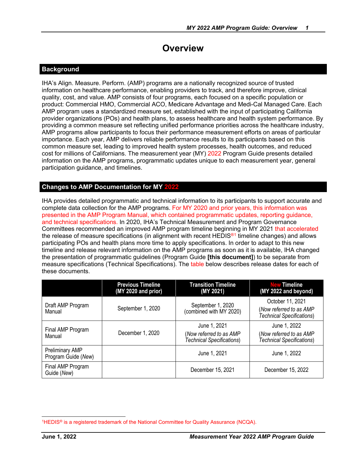# **Overview**

### <span id="page-3-0"></span>**Background**

IHA's Align. Measure. Perform. (AMP) programs are a nationally recognized source of trusted information on healthcare performance, enabling providers to track, and therefore improve, clinical quality, cost, and value. AMP consists of four programs, each focused on a specific population or product: Commercial HMO, Commercial ACO, Medicare Advantage and Medi-Cal Managed Care. Each AMP program uses a standardized measure set, established with the input of participating California provider organizations (POs) and health plans, to assess healthcare and health system performance. By providing a common measure set reflecting unified performance priorities across the healthcare industry, AMP programs allow participants to focus their performance measurement efforts on areas of particular importance. Each year, AMP delivers reliable performance results to its participants based on this common measure set, leading to improved health system processes, health outcomes, and reduced cost for millions of Californians. The measurement year (MY) 2022 Program Guide presents detailed information on the AMP programs, programmatic updates unique to each measurement year, general participation guidance, and timelines.

# **Changes to AMP Documentation for MY 2022**

IHA provides detailed programmatic and technical information to its participants to support accurate and complete data collection for the AMP programs. For MY 2020 and prior years, this information was presented in the AMP Program Manual, which contained programmatic updates, reporting guidance, and technical specifications. In 2020, IHA's Technical Measurement and Program Governance Committees recommended an improved AMP program timeline beginning in MY 2021 that accelerated the release of measure specifications (in alignment with recent HEDIS<sup>®[1](#page-3-1)</sup> timeline changes) and allows participating POs and health plans more time to apply specifications. In order to adapt to this new timeline and release relevant information on the AMP programs as soon as it is available, IHA changed the presentation of programmatic guidelines (Program Guide **[this document]**) to be separate from measure specifications (Technical Specifications). The table below describes release dates for each of these documents.

|                                               | <b>Previous Timeline</b><br>(MY 2020 and prior) | <b>Transition Timeline</b><br>(MY 2021)                              | <b>New Timeline</b><br>(MY 2022 and beyond)                                     |
|-----------------------------------------------|-------------------------------------------------|----------------------------------------------------------------------|---------------------------------------------------------------------------------|
| Draft AMP Program<br>Manual                   | September 1, 2020                               | September 1, 2020<br>(combined with MY 2020)                         | October 11, 2021<br>(Now referred to as AMP<br><b>Technical Specifications)</b> |
| Final AMP Program<br>Manual                   | December 1, 2020                                | June 1, 2021<br>(Now referred to as AMP<br>Technical Specifications) | June 1, 2022<br>(Now referred to as AMP<br>Technical Specifications)            |
| <b>Preliminary AMP</b><br>Program Guide (New) |                                                 | June 1, 2021                                                         | June 1, 2022                                                                    |
| Final AMP Program<br>Guide (New)              |                                                 | December 15, 2021                                                    | December 15, 2022                                                               |

<span id="page-3-1"></span><sup>&</sup>lt;sup>1</sup>HEDIS<sup>®</sup> is a registered trademark of the National Committee for Quality Assurance (NCQA).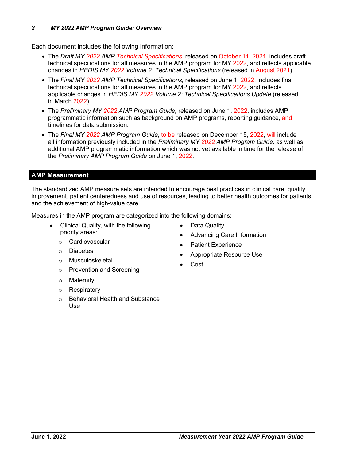<span id="page-4-0"></span>Each document includes the following information:

- The *Draft MY 2022 AMP Technical Specifications*, released on October 11, 2021, includes draft technical specifications for all measures in the AMP program for MY 2022, and reflects applicable changes in *HEDIS MY 2022 Volume 2: Technical Specifications* (released in August 2021).
- The *Final MY 2022 AMP Technical Specifications,* released on June 1, 2022, includes final technical specifications for all measures in the AMP program for MY 2022, and reflects applicable changes in *HEDIS MY 2022 Volume 2: Technical Specifications Update* (released in March 2022).
- The *Preliminary MY 2022 AMP Program Guide,* released on June 1, 2022, includes AMP programmatic information such as background on AMP programs, reporting guidance, and timelines for data submission.
- The *Final MY 2022 AMP Program Guide*, to be released on December 15, 2022, will include all information previously included in the *Preliminary MY 2022 AMP Program Guide,* as well as additional AMP programmatic information which was not yet available in time for the release of the *Preliminary AMP Program Guide* on June 1, 2022.

# **AMP Measurement**

The standardized AMP measure sets are intended to encourage best practices in clinical care, quality improvement, patient centeredness and use of resources, leading to better health outcomes for patients and the achievement of high-value care.

Measures in the AMP program are categorized into the following domains:

- Clinical Quality, with the following priority areas:
	- o Cardiovascular
	- o Diabetes
	- o Musculoskeletal
	- o Prevention and Screening
	- o Maternity
	- o Respiratory
	- **Behavioral Health and Substance** Use
- Data Quality
- Advancing Care Information
- Patient Experience
- Appropriate Resource Use
- Cost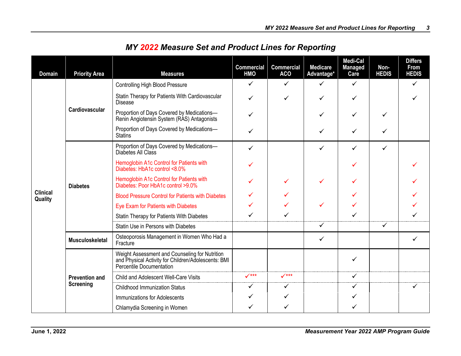<span id="page-5-0"></span>

| <b>Domain</b>              | <b>Priority Area</b>   | <b>Measures</b>                                                                                                                   | <b>Commercial</b><br><b>HMO</b> | <b>Commercial</b><br><b>ACO</b> | <b>Medicare</b><br>Advantage* | Medi-Cal<br><b>Managed</b><br>Care | Non-<br><b>HEDIS</b> | <b>Differs</b><br><b>From</b><br><b>HEDIS</b> |
|----------------------------|------------------------|-----------------------------------------------------------------------------------------------------------------------------------|---------------------------------|---------------------------------|-------------------------------|------------------------------------|----------------------|-----------------------------------------------|
|                            |                        | <b>Controlling High Blood Pressure</b>                                                                                            | $\checkmark$                    | $\checkmark$                    | $\checkmark$                  | ✓                                  |                      | $\checkmark$                                  |
|                            |                        | Statin Therapy for Patients With Cardiovascular<br><b>Disease</b>                                                                 | ✓                               | ✓                               | ✓                             | ✓                                  |                      | ✓                                             |
|                            | Cardiovascular         | Proportion of Days Covered by Medications-<br>Renin Angiotensin System (RAS) Antagonists                                          |                                 |                                 |                               | ✓                                  | ✓                    |                                               |
|                            |                        | Proportion of Days Covered by Medications-<br><b>Statins</b>                                                                      | ✓                               |                                 | $\checkmark$                  | ✓                                  | ✓                    |                                               |
|                            | <b>Diabetes</b>        | Proportion of Days Covered by Medications-<br>Diabetes All Class                                                                  | ✓                               |                                 | $\checkmark$                  | ✓                                  | ✓                    |                                               |
|                            |                        | Hemoglobin A1c Control for Patients with<br>Diabetes: HbA1c control <8.0%                                                         | ✓                               |                                 |                               | ✓                                  |                      |                                               |
|                            |                        | Hemoglobin A1c Control for Patients with<br>Diabetes: Poor HbA1c control >9.0%                                                    |                                 |                                 | ✓                             | ✓                                  |                      |                                               |
| <b>Clinical</b><br>Quality |                        | <b>Blood Pressure Control for Patients with Diabetes</b>                                                                          | ✓                               | ✓                               |                               | ✓                                  |                      |                                               |
|                            |                        | Eye Exam for Patients with Diabetes                                                                                               |                                 |                                 | ✓                             | $\checkmark$                       |                      |                                               |
|                            |                        | Statin Therapy for Patients With Diabetes                                                                                         |                                 | ✓                               |                               | ✓                                  |                      |                                               |
|                            |                        | Statin Use in Persons with Diabetes                                                                                               |                                 |                                 | ✓                             |                                    | ✓                    |                                               |
|                            | <b>Musculoskeletal</b> | Osteoporosis Management in Women Who Had a<br>Fracture                                                                            |                                 |                                 | ✓                             |                                    |                      |                                               |
|                            |                        | Weight Assessment and Counseling for Nutrition<br>and Physical Activity for Children/Adolescents: BMI<br>Percentile Documentation |                                 |                                 |                               | ✓                                  |                      |                                               |
|                            | <b>Prevention and</b>  | Child and Adolescent Well-Care Visits                                                                                             | $\checkmark$ ***                | $\checkmark$ ***                |                               | $\checkmark$                       |                      |                                               |
|                            | <b>Screening</b>       | <b>Childhood Immunization Status</b>                                                                                              | $\checkmark$                    | $\checkmark$                    |                               | ✓                                  |                      | ✓                                             |
|                            |                        | Immunizations for Adolescents                                                                                                     | ✓                               | $\checkmark$                    |                               | ✓                                  |                      |                                               |
|                            |                        | Chlamydia Screening in Women                                                                                                      | ✓                               | ✓                               |                               | ✓                                  |                      |                                               |

# *MY 2022 Measure Set and Product Lines for Reporting*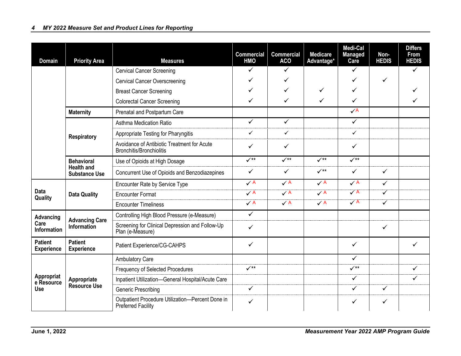| <b>Domain</b>                                                      | <b>Priority Area</b>                                                | <b>Measures</b>                                                                | <b>Commercial</b><br><b>HMO</b> | <b>Commercial</b><br><b>ACO</b> | <b>Medicare</b><br>Advantage* | Medi-Cal<br><b>Managed</b><br>Care | Non-<br><b>HEDIS</b>    | <b>Differs</b><br><b>From</b><br><b>HEDIS</b> |
|--------------------------------------------------------------------|---------------------------------------------------------------------|--------------------------------------------------------------------------------|---------------------------------|---------------------------------|-------------------------------|------------------------------------|-------------------------|-----------------------------------------------|
|                                                                    |                                                                     | <b>Cervical Cancer Screening</b>                                               | $\checkmark$                    | $\checkmark$                    |                               | $\checkmark$                       |                         | $\checkmark$                                  |
|                                                                    |                                                                     | <b>Cervical Cancer Overscreening</b>                                           | $\checkmark$                    | ✓                               |                               | ✓                                  | $\checkmark$            |                                               |
|                                                                    |                                                                     | <b>Breast Cancer Screening</b>                                                 | $\checkmark$                    | $\checkmark$                    | $\checkmark$                  | ✓                                  |                         | ✓                                             |
|                                                                    |                                                                     | <b>Colorectal Cancer Screening</b>                                             | ✓                               | ✓                               | ✓                             | ✓                                  |                         | $\checkmark$                                  |
|                                                                    | <b>Maternity</b>                                                    | Prenatal and Postpartum Care                                                   |                                 |                                 |                               | $\checkmark$ A                     |                         |                                               |
|                                                                    |                                                                     | Asthma Medication Ratio                                                        | $\checkmark$                    | $\checkmark$                    |                               | $\checkmark$                       |                         |                                               |
|                                                                    | <b>Respiratory</b>                                                  | Appropriate Testing for Pharyngitis                                            | ✓                               | $\checkmark$                    |                               | $\checkmark$                       |                         |                                               |
|                                                                    |                                                                     | Avoidance of Antibiotic Treatment for Acute<br><b>Bronchitis/Bronchiolitis</b> | ✓                               | ✓                               |                               | ✓                                  |                         |                                               |
|                                                                    | <b>Behavioral</b>                                                   | Use of Opioids at High Dosage                                                  | $\sqrt{**}$                     | $\checkmark$                    | $\checkmark$                  | $\sqrt{1+x}$                       |                         |                                               |
|                                                                    | <b>Health and</b><br><b>Substance Use</b>                           | Concurrent Use of Opioids and Benzodiazepines                                  | $\checkmark$                    | $\checkmark$                    | $\checkmark$                  | $\checkmark$                       | $\checkmark$            |                                               |
|                                                                    |                                                                     | Encounter Rate by Service Type                                                 | $\checkmark$ A                  | $\checkmark$ A                  | $\checkmark$ A                | $\checkmark$ A                     | $\checkmark$            |                                               |
| <b>Data</b><br>Quality                                             | <b>Data Quality</b>                                                 | <b>Encounter Format</b>                                                        | $\checkmark$ A                  | $\sqrt{A}$                      | $\checkmark$ A                | $\overline{\checkmark}$ A          | $\overline{\checkmark}$ |                                               |
|                                                                    | <b>Encounter Timeliness</b>                                         | $\checkmark$ A                                                                 | $\checkmark$ A                  | $\checkmark$ A                  | $\overline{\checkmark}$ A     | ✓                                  |                         |                                               |
| Advancing                                                          |                                                                     | Controlling High Blood Pressure (e-Measure)                                    | $\checkmark$                    |                                 |                               |                                    |                         |                                               |
| <b>Advancing Care</b><br>Care<br>Information<br><b>Information</b> | Screening for Clinical Depression and Follow-Up<br>Plan (e-Measure) | $\checkmark$                                                                   |                                 |                                 |                               | ✓                                  |                         |                                               |
| <b>Patient</b><br><b>Experience</b>                                | <b>Patient</b><br><b>Experience</b>                                 | Patient Experience/CG-CAHPS                                                    | $\checkmark$                    |                                 |                               | ✓                                  |                         | ✓                                             |
|                                                                    |                                                                     | <b>Ambulatory Care</b>                                                         |                                 |                                 |                               | $\checkmark$                       |                         |                                               |
|                                                                    |                                                                     | <b>Frequency of Selected Procedures</b>                                        | $\checkmark$                    |                                 |                               | $\checkmark$                       |                         | $\checkmark$                                  |
| Appropriat<br>e Resource                                           | Appropriate                                                         | Inpatient Utilization-General Hospital/Acute Care                              |                                 |                                 |                               | $\checkmark$                       |                         | $\checkmark$                                  |
| <b>Use</b>                                                         | <b>Resource Use</b>                                                 | <b>Generic Prescribing</b>                                                     | $\checkmark$                    |                                 |                               | ✓                                  | ✓                       |                                               |
|                                                                    |                                                                     | Outpatient Procedure Utilization-Percent Done in<br><b>Preferred Facility</b>  | $\checkmark$                    |                                 |                               | ✓                                  | ✓                       |                                               |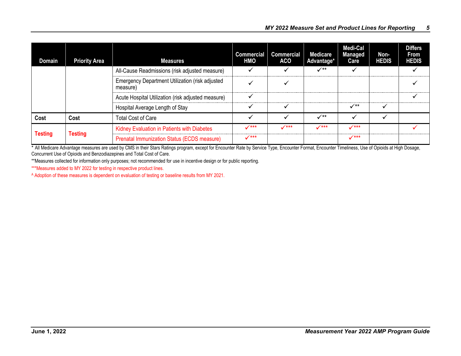| Domain                           | <b>Priority Area</b> | <b>Measures</b>                                             | <b>Commercial</b><br><b>HMO</b> | <b>Commercial</b><br><b>ACO</b> | <b>Medicare</b><br>Advantage* | <b>Medi-Cal</b><br><b>Managed</b><br>Care | Non-<br><b>HEDIS</b> | <b>Differs</b><br>From<br><b>HEDIS</b> |
|----------------------------------|----------------------|-------------------------------------------------------------|---------------------------------|---------------------------------|-------------------------------|-------------------------------------------|----------------------|----------------------------------------|
|                                  |                      | All-Cause Readmissions (risk adjusted measure)              |                                 |                                 | $\checkmark^{**}$             |                                           |                      |                                        |
|                                  |                      | Emergency Department Utilization (risk adjusted<br>measure) |                                 |                                 |                               |                                           |                      |                                        |
|                                  |                      | Acute Hospital Utilization (risk adjusted measure)          |                                 |                                 |                               |                                           |                      |                                        |
|                                  |                      | Hospital Average Length of Stay                             |                                 |                                 |                               | $\checkmark^{**}$                         | $\checkmark$         |                                        |
| Cost                             | Cost                 | <b>Total Cost of Care</b>                                   |                                 |                                 | $\checkmark^{**}$             |                                           |                      |                                        |
|                                  |                      | Kidney Evaluation in Patients with Diabetes                 | $7***$                          | $\mathcal{I}$ ***               | $7***$                        | $\checkmark$ ***                          |                      |                                        |
| <b>Testing</b><br><b>Testing</b> |                      | Prenatal Immunization Status (ECDS measure)                 | $\mathcal{N}$ ***               |                                 |                               | $\checkmark$ ***                          |                      |                                        |

\* All Medicare Advantage measures are used by CMS in their Stars Ratings program, except for Encounter Rate by Service Type, Encounter Format, Encounter Timeliness, Use of Opioids at High Dosage, Concurrent Use of Opioids and Benzodiazepines and Total Cost of Care.

\*\*Measures collected for information only purposes; not recommended for use in incentive design or for public reporting.

\*\*\*Measures added to MY 2022 for testing in respective product lines.

A Adoption of these measures is dependent on evaluation of testing or baseline results from MY 2021.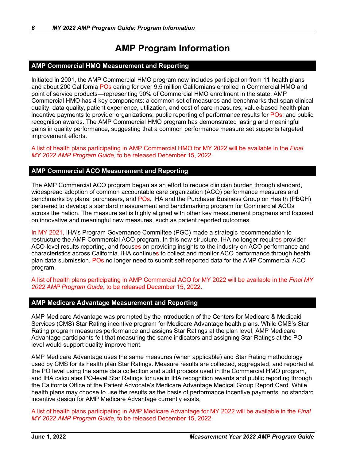# **AMP Program Information**

# <span id="page-8-0"></span>**AMP Commercial HMO Measurement and Reporting**

Initiated in 2001, the AMP Commercial HMO program now includes participation from 11 health plans and about 200 California POs caring for over 9.5 million Californians enrolled in Commercial HMO and point of service products—representing 90% of Commercial HMO enrollment in the state. AMP Commercial HMO has 4 key components: a common set of measures and benchmarks that span clinical quality, data quality, patient experience, utilization, and cost of care measures; value-based health plan incentive payments to provider organizations; public reporting of performance results for POs; and public recognition awards. The AMP Commercial HMO program has demonstrated lasting and meaningful gains in quality performance, suggesting that a common performance measure set supports targeted improvement efforts.

A list of health plans participating in AMP Commercial HMO for MY 2022 will be available in the *Final MY 2022 AMP Program Guide*, to be released December 15, 2022.

# **AMP Commercial ACO Measurement and Reporting**

The AMP Commercial ACO program began as an effort to reduce clinician burden through standard, widespread adoption of common accountable care organization (ACO) performance measures and benchmarks by plans, purchasers, and POs. IHA and the Purchaser Business Group on Health (PBGH) partnered to develop a standard measurement and benchmarking program for Commercial ACOs across the nation. The measure set is highly aligned with other key measurement programs and focused on innovative and meaningful new measures, such as patient reported outcomes.

In MY 2021, IHA's Program Governance Committee (PGC) made a strategic recommendation to restructure the AMP Commercial ACO program. In this new structure, IHA no longer requires provider ACO-level results reporting, and focuses on providing insights to the industry on ACO performance and characteristics across California. IHA continues to collect and monitor ACO performance through health plan data submission. POs no longer need to submit self-reported data for the AMP Commercial ACO program.

A list of health plans participating in AMP Commercial ACO for MY 2022 will be available in the *Final MY 2022 AMP Program Guide*, to be released December 15, 2022.

#### **AMP Medicare Advantage Measurement and Reporting**

AMP Medicare Advantage was prompted by the introduction of the Centers for Medicare & Medicaid Services (CMS) Star Rating incentive program for Medicare Advantage health plans. While CMS's Star Rating program measures performance and assigns Star Ratings at the plan level, AMP Medicare Advantage participants felt that measuring the same indicators and assigning Star Ratings at the PO level would support quality improvement.

AMP Medicare Advantage uses the same measures (when applicable) and Star Rating methodology used by CMS for its health plan Star Ratings. Measure results are collected, aggregated, and reported at the PO level using the same data collection and audit process used in the Commercial HMO program, and IHA calculates PO-level Star Ratings for use in IHA recognition awards and public reporting through the California Office of the Patient Advocate's Medicare Advantage Medical Group Report Card. While health plans may choose to use the results as the basis of performance incentive payments, no standard incentive design for AMP Medicare Advantage currently exists.

A list of health plans participating in AMP Medicare Advantage for MY 2022 will be available in the *Final MY 2022 AMP Program Guide*, to be released December 15, 2022.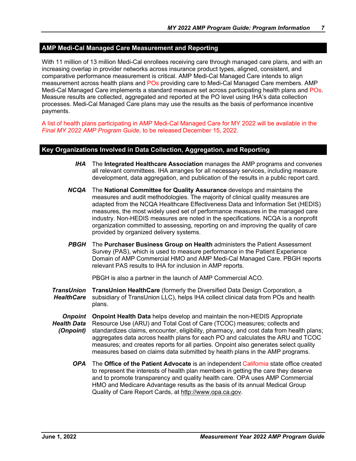# <span id="page-9-0"></span>**AMP Medi-Cal Managed Care Measurement and Reporting**

With 11 million of 13 million Medi-Cal enrollees receiving care through managed care plans, and with an increasing overlap in provider networks across insurance product types, aligned, consistent, and comparative performance measurement is critical. AMP Medi-Cal Managed Care intends to align measurement across health plans and POs providing care to Medi-Cal Managed Care members. AMP Medi-Cal Managed Care implements a standard measure set across participating health plans and POs. Measure results are collected, aggregated and reported at the PO level using IHA's data collection processes. Medi-Cal Managed Care plans may use the results as the basis of performance incentive payments.

A list of health plans participating in AMP Medi-Cal Managed Care for MY 2022 will be available in the *Final MY 2022 AMP Program Guide*, to be released December 15, 2022.

#### **Key Organizations Involved in Data Collection, Aggregation, and Reporting**

- *IHA* The **Integrated Healthcare Association** manages the AMP programs and convenes all relevant committees. IHA arranges for all necessary services, including measure development, data aggregation, and publication of the results in a public report card.
- *NCQA* The **National Committee for Quality Assurance** develops and maintains the measures and audit methodologies. The majority of clinical quality measures are adapted from the NCQA Healthcare Effectiveness Data and Information Set (HEDIS) measures, the most widely used set of performance measures in the managed care industry. Non-HEDIS measures are noted in the specifications. NCQA is a nonprofit organization committed to assessing, reporting on and improving the quality of care provided by organized delivery systems.
- *PBGH* The **Purchaser Business Group on Health** administers the Patient Assessment Survey (PAS), which is used to measure performance in the Patient Experience Domain of AMP Commercial HMO and AMP Medi-Cal Managed Care. PBGH reports relevant PAS results to IHA for inclusion in AMP reports.

PBGH is also a partner in the launch of AMP Commercial ACO.

- **TransUnion TransUnion HealthCare** (formerly the Diversified Data Design Corporation, a *HealthCare* subsidiary of TransUnion LLC), helps IHA collect clinical data from POs and health plans.
- **Onpoint** Onpoint Health Data helps develop and maintain the non-HEDIS Appropriate *Health Data (Onpoint)* Resource Use (ARU) and Total Cost of Care (TCOC) measures; collects and standardizes claims, encounter, eligibility, pharmacy, and cost data from health plans; aggregates data across health plans for each PO and calculates the ARU and TCOC measures; and creates reports for all parties. Onpoint also generates select quality measures based on claims data submitted by health plans in the AMP programs.
	- *OPA* The **Office of the Patient Advocate** is an independent California state office created to represent the interests of health plan members in getting the care they deserve and to promote transparency and quality health care. OPA uses AMP Commercial HMO and Medicare Advantage results as the basis of its annual Medical Group Quality of Care Report Cards, at [http://www.opa.ca.gov.](http://www.opa.ca.gov/)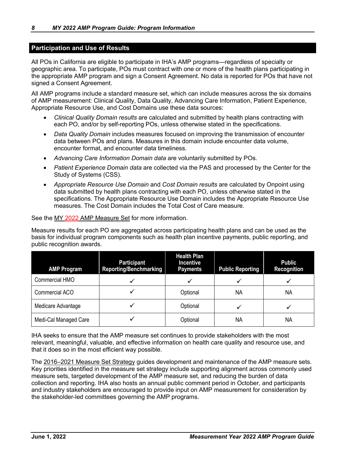## <span id="page-10-0"></span>**Participation and Use of Results**

All POs in California are eligible to participate in IHA's AMP programs—regardless of specialty or geographic area. To participate, POs must contract with one or more of the health plans participating in the appropriate AMP program and sign a Consent Agreement. No data is reported for POs that have not signed a Consent Agreement.

All AMP programs include a standard measure set, which can include measures across the six domains of AMP measurement: Clinical Quality, Data Quality, Advancing Care Information, Patient Experience, Appropriate Resource Use, and Cost Domains use these data sources:

- *Clinical Quality Domain results* are calculated and submitted by health plans contracting with each PO, and/or by self-reporting POs, unless otherwise stated in the specifications.
- *Data Quality Domain* includes measures focused on improving the transmission of encounter data between POs and plans. Measures in this domain include encounter data volume, encounter format, and encounter data timeliness.
- *Advancing Care Information Domain data* are voluntarily submitted by POs.
- *Patient Experience Domain data* are collected via the PAS and processed by the Center for the Study of Systems (CSS).
- *Appropriate Resource Use Domain* and *Cost Domain results* are calculated by Onpoint using data submitted by health plans contracting with each PO, unless otherwise stated in the specifications. The Appropriate Resource Use Domain includes the Appropriate Resource Use measures. The Cost Domain includes the Total Cost of Care measure.

See the MY 2022 [AMP Measure Set](https://iha.org/wp-content/uploads/2021/12/MY-2022-AMP-Measure-Set-v1.2.pdf) for more information.

Measure results for each PO are aggregated across participating health plans and can be used as the basis for individual program components such as health plan incentive payments, public reporting, and public recognition awards.

| <b>AMP Program</b>    | Participant<br><b>Reporting/Benchmarking</b> | <b>Health Plan</b><br><b>Incentive</b><br><b>Payments</b> | <b>Public Reporting</b> | <b>Public</b><br><b>Recognition</b> |
|-----------------------|----------------------------------------------|-----------------------------------------------------------|-------------------------|-------------------------------------|
| Commercial HMO        |                                              |                                                           |                         |                                     |
| Commercial ACO        |                                              | Optional                                                  | ΝA                      | NA                                  |
| Medicare Advantage    |                                              | Optional                                                  |                         |                                     |
| Medi-Cal Managed Care |                                              | Optional                                                  | ΝA                      | ΝA                                  |

IHA seeks to ensure that the AMP measure set continues to provide stakeholders with the most relevant, meaningful, valuable, and effective information on health care quality and resource use, and that it does so in the most efficient way possible.

The [2016–2021 Measure Set Strategy](https://www.iha.org/performance-measurement/amp-program/measure-set/) guides development and maintenance of the AMP measure sets. Key priorities identified in the measure set strategy include supporting alignment across commonly used measure sets, targeted development of the AMP measure set, and reducing the burden of data collection and reporting. IHA also hosts an annual public comment period in October, and participants and industry stakeholders are encouraged to provide input on AMP measurement for consideration by the stakeholder-led committees governing the AMP programs.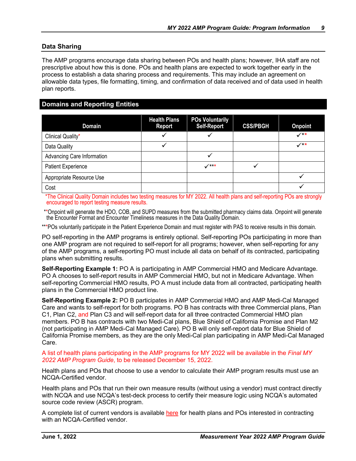### <span id="page-11-0"></span>**Data Sharing**

The AMP programs encourage data sharing between POs and health plans; however, IHA staff are not prescriptive about how this is done. POs and health plans are expected to work together early in the process to establish a data sharing process and requirements. This may include an agreement on allowable data types, file formatting, timing, and confirmation of data received and of data used in health plan reports.

# **Domains and Reporting Entities**

| <b>Domain</b>              | <b>Health Plans</b><br><b>Report</b> | <b>POs Voluntarily</b><br><b>Self-Report</b> | <b>CSS/PBGH</b> | <b>Onpoint</b> |
|----------------------------|--------------------------------------|----------------------------------------------|-----------------|----------------|
| Clinical Quality*          |                                      |                                              |                 | $\checkmark$   |
| Data Quality               |                                      |                                              |                 | $\checkmark$   |
| Advancing Care Information |                                      |                                              |                 |                |
| <b>Patient Experience</b>  |                                      | $\checkmark$                                 |                 |                |
| Appropriate Resource Use   |                                      |                                              |                 |                |
| Cost                       |                                      |                                              |                 |                |

 \*The Clinical Quality Domain includes two testing measures for MY 2022. All health plans and self-reporting POs are strongly encouraged to report testing measure results.

\*\*Onpoint will generate the HDO, COB, and SUPD measures from the submitted pharmacy claims data. Onpoint will generate the Encounter Format and Encounter Timeliness measures in the Data Quality Domain.

\*\*\*POs voluntarily participate in the Patient Experience Domain and must register with PAS to receive results in this domain.

PO self-reporting in the AMP programs is entirely optional. Self-reporting POs participating in more than one AMP program are not required to self-report for all programs; however, when self-reporting for any of the AMP programs, a self-reporting PO must include all data on behalf of its contracted, participating plans when submitting results.

**Self-Reporting Example 1:** PO A is participating in AMP Commercial HMO and Medicare Advantage. PO A chooses to self-report results in AMP Commercial HMO, but not in Medicare Advantage. When self-reporting Commercial HMO results, PO A must include data from all contracted, participating health plans in the Commercial HMO product line.

**Self-Reporting Example 2:** PO B participates in AMP Commercial HMO and AMP Medi-Cal Managed Care and wants to self-report for both programs. PO B has contracts with three Commercial plans, Plan C1, Plan C2, and Plan C3 and will self-report data for all three contracted Commercial HMO plan members. PO B has contracts with two Medi-Cal plans, Blue Shield of California Promise and Plan M2 (not participating in AMP Medi-Cal Managed Care). PO B will only self-report data for Blue Shield of California Promise members, as they are the only Medi-Cal plan participating in AMP Medi-Cal Managed Care.

#### A list of health plans participating in the AMP programs for MY 2022 will be available in the *Final MY 2022 AMP Program Guide*, to be released December 15, 2022.

Health plans and POs that choose to use a vendor to calculate their AMP program results must use an NCQA-Certified vendor.

Health plans and POs that run their own measure results (without using a vendor) must contract directly with NCQA and use NCQA's test-deck process to certify their measure logic using NCQA's automated source code review (ASCR) program.

A complete list of current vendors is available [here](https://www.ncqa.org/wp-content/uploads/2022/03/MY2022_MeasureCertification_VendorList.pdf) for health plans and POs interested in contracting with an NCQA-Certified vendor.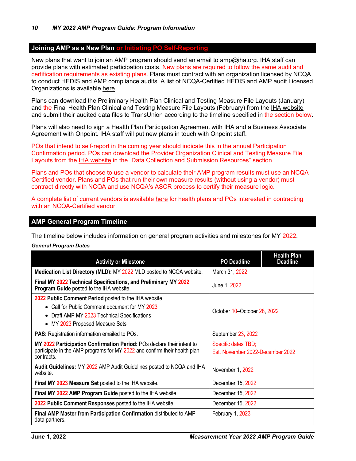## <span id="page-12-0"></span>**Joining AMP as a New Plan or Initiating PO Self-Reporting**

New plans that want to join an AMP program should send an email to **amp@iha.org.** IHA staff can provide plans with estimated participation costs. New plans are required to follow the same audit and certification requirements as existing plans. Plans must contract with an organization licensed by NCQA to conduct HEDIS and AMP compliance audits. A list of NCQA-Certified HEDIS and AMP audit Licensed Organizations is available [here.](https://www.ncqa.org/programs/data-and-information-technology/hit-and-data-certification/hedis-compliance-audit-certification/licensed-organizations/)

Plans can download the Preliminary Health Plan Clinical and Testing Measure File Layouts (January) and the Final Health Plan Clinical and Testing Measure File Layouts (February) from the [IHA website](https://iha.org/performance-measurement/amp-program/data-resources/) and submit their audited data files to TransUnion according to the timeline specified in the section below.

Plans will also need to sign a Health Plan Participation Agreement with IHA and a Business Associate Agreement with Onpoint. IHA staff will put new plans in touch with Onpoint staff.

POs that intend to self-report in the coming year should indicate this in the annual Participation Confirmation period. POs can download the Provider Organization Clinical and Testing Measure File Layouts from the [IHA website](https://www.iha.org/performance-measurement/amp-program/amp-participant-resources/) in the "Data Collection and Submission Resources" section.

Plans and POs that choose to use a vendor to calculate their AMP program results must use an NCQA-Certified vendor. Plans and POs that run their own measure results (without using a vendor) must contract directly with NCQA and use NCQA's ASCR process to certify their measure logic.

A complete list of current vendors is available [here](https://www.ncqa.org/wp-content/uploads/2022/03/MY2022_MeasureCertification_VendorList.pdf) for health plans and POs interested in contracting with an NCQA-Certified vendor.

#### **AMP General Program Timeline**

The timeline below includes information on general program activities and milestones for MY 2022.

#### *General Program Dates*

| <b>Activity or Milestone</b>                                                                                                                                                                          | <b>PO Deadline</b>                                      | <b>Health Plan</b><br><b>Deadline</b> |
|-------------------------------------------------------------------------------------------------------------------------------------------------------------------------------------------------------|---------------------------------------------------------|---------------------------------------|
| Medication List Directory (MLD): MY 2022 MLD posted to NCQA website.                                                                                                                                  | March 31, 2022                                          |                                       |
| Final MY 2022 Technical Specifications, and Preliminary MY 2022<br>Program Guide posted to the IHA website.                                                                                           | June 1, 2022                                            |                                       |
| 2022 Public Comment Period posted to the IHA website.<br>• Call for Public Comment document for MY 2023<br>Draft AMP MY 2023 Technical Specifications<br>$\bullet$<br>• MY 2023 Proposed Measure Sets | October 10-October 28, 2022                             |                                       |
| <b>PAS:</b> Registration information emailed to POs.                                                                                                                                                  | September 23, 2022                                      |                                       |
| MY 2022 Participation Confirmation Period: POs declare their intent to<br>participate in the AMP programs for MY 2022 and confirm their health plan<br>contracts.                                     | Specific dates TBD;<br>Est. November 2022-December 2022 |                                       |
| Audit Guidelines: MY 2022 AMP Audit Guidelines posted to NCQA and IHA<br>website.                                                                                                                     | November 1, 2022                                        |                                       |
| Final MY 2023 Measure Set posted to the IHA website.                                                                                                                                                  | December 15, 2022                                       |                                       |
| Final MY 2022 AMP Program Guide posted to the IHA website.                                                                                                                                            | December 15, 2022                                       |                                       |
| 2022 Public Comment Responses posted to the IHA website.                                                                                                                                              | December 15, 2022                                       |                                       |
| Final AMP Master from Participation Confirmation distributed to AMP<br>data partners.                                                                                                                 | February 1, 2023                                        |                                       |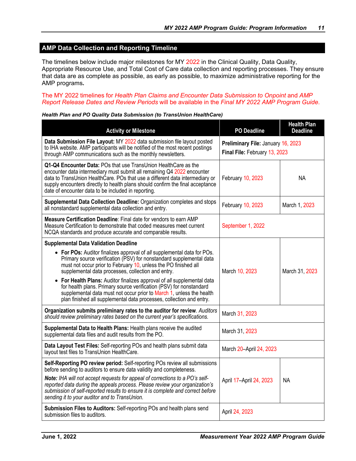# <span id="page-13-0"></span>**AMP Data Collection and Reporting Timeline**

The timelines below include major milestones for MY 2022 in the Clinical Quality, Data Quality, Appropriate Resource Use, and Total Cost of Care data collection and reporting processes. They ensure that data are as complete as possible, as early as possible, to maximize administrative reporting for the AMP programs*.* 

#### The MY 2022 timelines for *Health Plan Claims and Encounter Data Submission to Onpoint* and *AMP Report Release Dates and Review Periods* will be available in the *Final MY 2022 AMP Program Guide*.

| <b>Activity or Milestone</b>                                                                                                                                                                                                                                                                                                                                        | <b>PO Deadline</b>                                                  | <b>Health Plan</b><br>Deadline |
|---------------------------------------------------------------------------------------------------------------------------------------------------------------------------------------------------------------------------------------------------------------------------------------------------------------------------------------------------------------------|---------------------------------------------------------------------|--------------------------------|
| Data Submission File Layout: MY 2022 data submission file layout posted<br>to IHA website. AMP participants will be notified of the most recent postings<br>through AMP communications such as the monthly newsletters.                                                                                                                                             | Preliminary File: January 16, 2023<br>Final File: February 13, 2023 |                                |
| Q1-Q4 Encounter Data: POs that use TransUnion HealthCare as the<br>encounter data intermediary must submit all remaining Q4 2022 encounter<br>data to TransUnion HealthCare. POs that use a different data intermediary or<br>supply encounters directly to health plans should confirm the final acceptance<br>date of encounter data to be included in reporting. | February 10, 2023                                                   | NA.                            |
| Supplemental Data Collection Deadline: Organization completes and stops<br>all nonstandard supplemental data collection and entry.                                                                                                                                                                                                                                  | February 10, 2023                                                   | March 1, 2023                  |
| Measure Certification Deadline: Final date for vendors to earn AMP<br>Measure Certification to demonstrate that coded measures meet current<br>NCQA standards and produce accurate and comparable results.                                                                                                                                                          | September 1, 2022                                                   |                                |
| <b>Supplemental Data Validation Deadline</b>                                                                                                                                                                                                                                                                                                                        |                                                                     |                                |
| • For POs: Auditor finalizes approval of all supplemental data for POs.<br>Primary source verification (PSV) for nonstandard supplemental data<br>must not occur prior to February 10, unless the PO finished all<br>supplemental data processes, collection and entry.                                                                                             | March 10, 2023                                                      | March 31, 2023                 |
| • For Health Plans: Auditor finalizes approval of all supplemental data<br>for health plans. Primary source verification (PSV) for nonstandard<br>supplemental data must not occur prior to March 1, unless the health<br>plan finished all supplemental data processes, collection and entry.                                                                      |                                                                     |                                |
| Organization submits preliminary rates to the auditor for review. Auditors<br>should review preliminary rates based on the current year's specifications.                                                                                                                                                                                                           | March 31, 2023                                                      |                                |
| Supplemental Data to Health Plans: Health plans receive the audited<br>supplemental data files and audit results from the PO.                                                                                                                                                                                                                                       | March 31, 2023                                                      |                                |
| Data Layout Test Files: Self-reporting POs and health plans submit data<br>layout test files to TransUnion HealthCare.                                                                                                                                                                                                                                              | March 20-April 24, 2023                                             |                                |
| Self-Reporting PO review period: Self-reporting POs review all submissions<br>before sending to auditors to ensure data validity and completeness.                                                                                                                                                                                                                  |                                                                     |                                |
| Note: IHA will not accept requests for appeal of corrections to a PO's self-<br>reported data during the appeals process. Please review your organization's<br>submission of self-reported results to ensure it is complete and correct before<br>sending it to your auditor and to TransUnion.                                                                     | April 17-April 24, 2023                                             | NA                             |
| Submission Files to Auditors: Self-reporting POs and health plans send<br>submission files to auditors.                                                                                                                                                                                                                                                             | April 24, 2023                                                      |                                |

#### *Health Plan and PO Quality Data Submission (to TransUnion HealthCare)*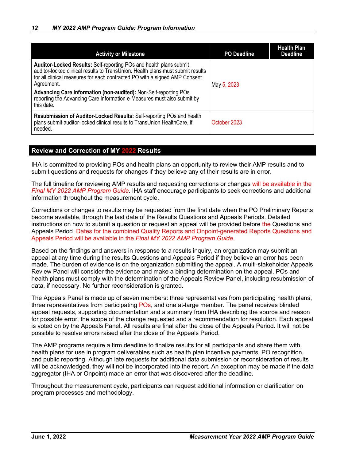<span id="page-14-0"></span>

| <b>Activity or Milestone</b>                                                                                                                                                                                                                                                                                                                                                                                                 | <b>PO Deadline</b> | <b>Health Plan</b><br><b>Deadline</b> |
|------------------------------------------------------------------------------------------------------------------------------------------------------------------------------------------------------------------------------------------------------------------------------------------------------------------------------------------------------------------------------------------------------------------------------|--------------------|---------------------------------------|
| <b>Auditor-Locked Results: Self-reporting POs and health plans submit</b><br>auditor-locked clinical results to TransUnion. Health plans must submit results<br>for all clinical measures for each contracted PO with a signed AMP Consent<br>Agreement.<br><b>Advancing Care Information (non-audited): Non-Self-reporting POs</b><br>reporting the Advancing Care Information e-Measures must also submit by<br>this date. | May 5, 2023        |                                       |
| Resubmission of Auditor-Locked Results: Self-reporting POs and health<br>plans submit auditor-locked clinical results to TransUnion HealthCare, if<br>needed.                                                                                                                                                                                                                                                                | October 2023       |                                       |

# **Review and Correction of MY 2022 Results**

IHA is committed to providing POs and health plans an opportunity to review their AMP results and to submit questions and requests for changes if they believe any of their results are in error.

The full timeline for reviewing AMP results and requesting corrections or changes will be available in the *Final MY 2022 AMP Program Guide*. IHA staff encourage participants to seek corrections and additional information throughout the measurement cycle.

Corrections or changes to results may be requested from the first date when the PO Preliminary Reports become available, through the last date of the Results Questions and Appeals Periods. Detailed instructions on how to submit a question or request an appeal will be provided before the Questions and Appeals Period. Dates for the combined Quality Reports and Onpoint-generated Reports Questions and Appeals Period will be available in the *Final MY 2022 AMP Program Guide*.

Based on the findings and answers in response to a results inquiry, an organization may submit an appeal at any time during the results Questions and Appeals Period if they believe an error has been made. The burden of evidence is on the organization submitting the appeal. A multi-stakeholder Appeals Review Panel will consider the evidence and make a binding determination on the appeal. POs and health plans must comply with the determination of the Appeals Review Panel, including resubmission of data, if necessary. No further reconsideration is granted.

The Appeals Panel is made up of seven members: three representatives from participating health plans, three representatives from participating POs, and one at-large member. The panel receives blinded appeal requests, supporting documentation and a summary from IHA describing the source and reason for possible error, the scope of the change requested and a recommendation for resolution. Each appeal is voted on by the Appeals Panel. All results are final after the close of the Appeals Period. It will not be possible to resolve errors raised after the close of the Appeals Period.

The AMP programs require a firm deadline to finalize results for all participants and share them with health plans for use in program deliverables such as health plan incentive payments, PO recognition, and public reporting. Although late requests for additional data submission or reconsideration of results will be acknowledged, they will not be incorporated into the report*.* An exception may be made if the data aggregator (IHA or Onpoint) made an error that was discovered after the deadline.

Throughout the measurement cycle, participants can request additional information or clarification on program processes and methodology.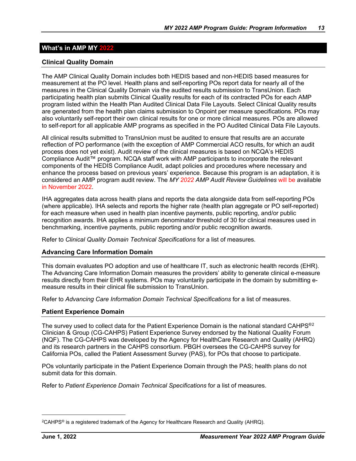# <span id="page-15-0"></span>**What's in AMP MY 2022**

# **Clinical Quality Domain**

The AMP Clinical Quality Domain includes both HEDIS based and non-HEDIS based measures for measurement at the PO level. Health plans and self-reporting POs report data for nearly all of the measures in the Clinical Quality Domain via the audited results submission to TransUnion. Each participating health plan submits Clinical Quality results for each of its contracted POs for each AMP program listed within the Health Plan Audited Clinical Data File Layouts. Select Clinical Quality results are generated from the health plan claims submission to Onpoint per measure specifications. POs may also voluntarily self-report their own clinical results for one or more clinical measures. POs are allowed to self-report for all applicable AMP programs as specified in the PO Audited Clinical Data File Layouts.

All clinical results submitted to TransUnion must be audited to ensure that results are an accurate reflection of PO performance (with the exception of AMP Commercial ACO results, for which an audit process does not yet exist). Audit review of the clinical measures is based on NCQA's HEDIS Compliance Audit™ program. NCQA staff work with AMP participants to incorporate the relevant components of the HEDIS Compliance Audit, adapt policies and procedures where necessary and enhance the process based on previous years' experience. Because this program is an adaptation, it is considered an AMP program audit review. The *MY 2022 AMP Audit Review Guidelines* will be available in November 2022.

IHA aggregates data across health plans and reports the data alongside data from self-reporting POs (where applicable). IHA selects and reports the higher rate (health plan aggregate or PO self-reported) for each measure when used in health plan incentive payments, public reporting, and/or public recognition awards. IHA applies a minimum denominator threshold of 30 for clinical measures used in benchmarking, incentive payments, public reporting and/or public recognition awards.

Refer to *Clinical Quality Domain Technical Specifications* for a list of measures.

# **Advancing Care Information Domain**

This domain evaluates PO adoption and use of healthcare IT, such as electronic health records (EHR). The Advancing Care Information Domain measures the providers' ability to generate clinical e-measure results directly from their EHR systems. POs may voluntarily participate in the domain by submitting emeasure results in their clinical file submission to TransUnion.

Refer to *Advancing Care Information Domain Technical Specifications* for a list of measures.

# **Patient Experience Domain**

The survey used to collect data for the Patient Experience Domain is the national standard CAHPS<sup>®[2](#page-15-1)</sup> Clinician & Group (CG-CAHPS) Patient Experience Survey endorsed by the National Quality Forum (NQF). The CG-CAHPS was developed by the Agency for HealthCare Research and Quality (AHRQ) and its research partners in the CAHPS consortium. PBGH oversees the CG-CAHPS survey for California POs, called the Patient Assessment Survey (PAS), for POs that choose to participate.

POs voluntarily participate in the Patient Experience Domain through the PAS; health plans do not submit data for this domain.

Refer to *Patient Experience Domain Technical Specifications* for a list of measures.

<span id="page-15-1"></span><sup>2</sup>CAHPS® is a registered trademark of the Agency for Healthcare Research and Quality (AHRQ).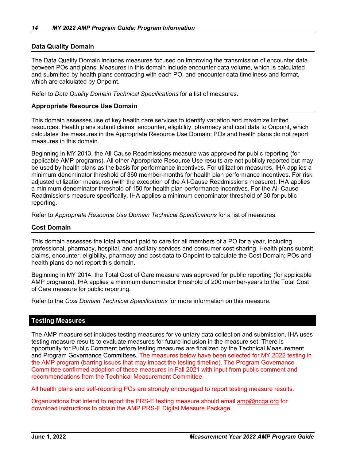### <span id="page-16-0"></span>**Data Quality Domain**

The Data Quality Domain includes measures focused on improving the transmission of encounter data between POs and plans. Measures in this domain include encounter data volume, which is calculated and submitted by health plans contracting with each PO, and encounter data timeliness and format, which are calculated by Onpoint.

Refer to *Data Quality Domain Technical Specifications* for a list of measures.

#### **Appropriate Resource Use Domain**

This domain assesses use of key health care services to identify variation and maximize limited resources. Health plans submit claims, encounter, eligibility, pharmacy and cost data to Onpoint, which calculates the measures in the Appropriate Resource Use Domain; POs and health plans do not report measures in this domain.

Beginning in MY 2013, the All-Cause Readmissions measure was approved for public reporting (for applicable AMP programs). All other Appropriate Resource Use results are not publicly reported but may be used by health plans as the basis for performance incentives. For utilization measures, IHA applies a minimum denominator threshold of 360 member-months for health plan performance incentives. For risk adjusted utilization measures (with the exception of the All-Cause Readmissions measure), IHA applies a minimum denominator threshold of 150 for health plan performance incentives. For the All-Cause Readmissions measure specifically, IHA applies a minimum denominator threshold of 30 for public reporting.

Refer to *Appropriate Resource Use Domain Technical Specifications* for a list of measures.

#### **Cost Domain**

This domain assesses the total amount paid to care for all members of a PO for a year, including professional, pharmacy, hospital, and ancillary services and consumer cost-sharing. Health plans submit claims, encounter, eligibility, pharmacy and cost data to Onpoint to calculate the Cost Domain; POs and health plans do not report this domain.

Beginning in MY 2014, the Total Cost of Care measure was approved for public reporting (for applicable AMP programs). IHA applies a minimum denominator threshold of 200 member-years to the Total Cost of Care measure for public reporting.

Refer to the *Cost Domain Technical Specifications* for more information on this measure.

#### **Testing Measures**

The AMP measure set includes testing measures for voluntary data collection and submission. IHA uses testing measure results to evaluate measures for future inclusion in the measure set. There is opportunity for Public Comment before testing measures are finalized by the Technical Measurement and Program Governance Committees. The measures below have been selected for MY 2022 testing in the AMP program (barring issues that may impact the testing timeline). The Program Governance Committee confirmed adoption of these measures in Fall 2021 with input from public comment and recommendations from the Technical Measurement Committee.

All health plans and self-reporting POs are strongly encouraged to report testing measure results.

Organizations that intend to report the PRS-E testing measure should email [amp@ncqa.org](mailto:amp@ncqa.org) for download instructions to obtain the AMP PRS-E Digital Measure Package.